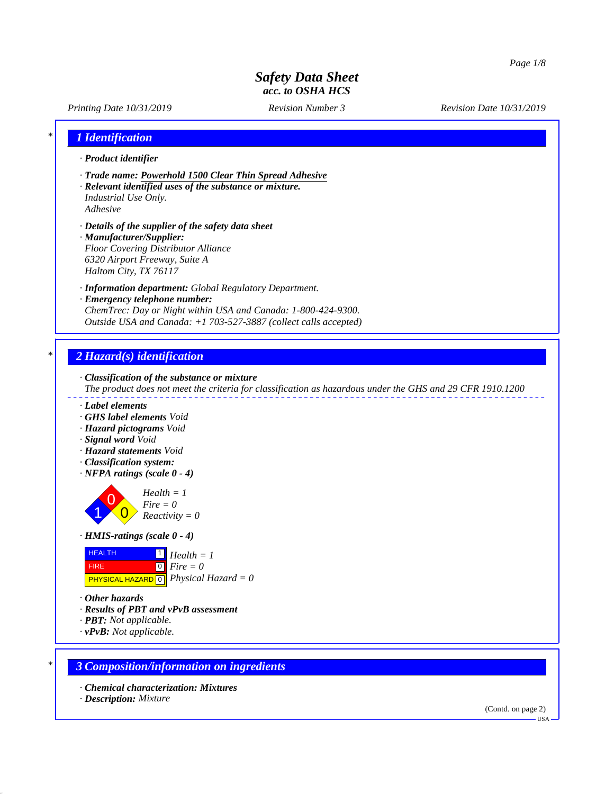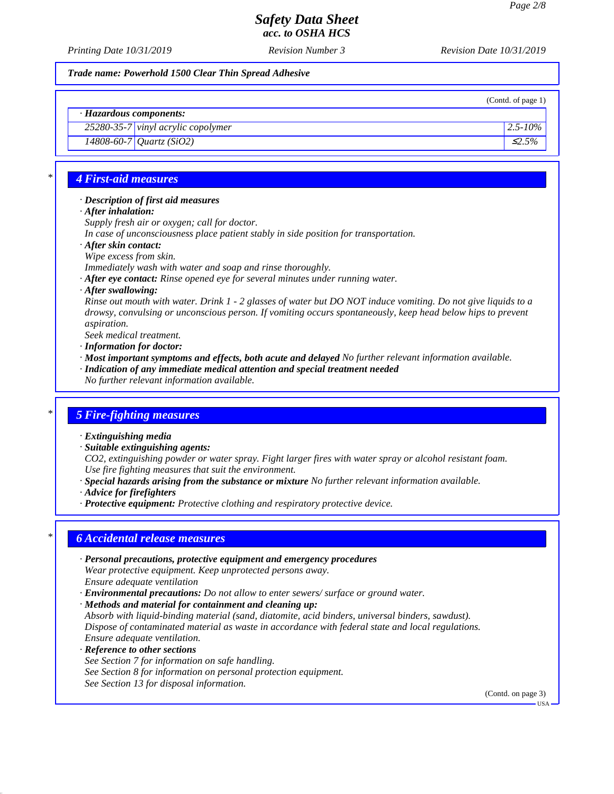*Printing Date 10/31/2019 Revision Number 3 Revision Date 10/31/2019*

*Trade name: Powerhold 1500 Clear Thin Spread Adhesive*

(Contd. of page 1)

# *· Hazardous components:*

*25280-35-7 vinyl acrylic copolymer 2.5-10% 14808-60-7 Quartz (SiO2)* ≤*2.5%*

# *\* 4 First-aid measures*

### *· Description of first aid measures*

*· After inhalation:*

*Supply fresh air or oxygen; call for doctor.*

- *In case of unconsciousness place patient stably in side position for transportation.*
- *· After skin contact:*
- *Wipe excess from skin.*

*Immediately wash with water and soap and rinse thoroughly.*

- *· After eye contact: Rinse opened eye for several minutes under running water.*
- *· After swallowing:*

*Rinse out mouth with water. Drink 1 - 2 glasses of water but DO NOT induce vomiting. Do not give liquids to a drowsy, convulsing or unconscious person. If vomiting occurs spontaneously, keep head below hips to prevent aspiration.*

*Seek medical treatment.*

- *· Information for doctor:*
- *· Most important symptoms and effects, both acute and delayed No further relevant information available. · Indication of any immediate medical attention and special treatment needed*
- *No further relevant information available.*

## *\* 5 Fire-fighting measures*

- *· Extinguishing media*
- *· Suitable extinguishing agents:*

*CO2, extinguishing powder or water spray. Fight larger fires with water spray or alcohol resistant foam. Use fire fighting measures that suit the environment.*

- *· Special hazards arising from the substance or mixture No further relevant information available.*
- *· Advice for firefighters*
- *· Protective equipment: Protective clothing and respiratory protective device.*

## *\* 6 Accidental release measures*

- *· Personal precautions, protective equipment and emergency procedures Wear protective equipment. Keep unprotected persons away. Ensure adequate ventilation*
- *· Environmental precautions: Do not allow to enter sewers/ surface or ground water.*
- *· Methods and material for containment and cleaning up:*

*Absorb with liquid-binding material (sand, diatomite, acid binders, universal binders, sawdust). Dispose of contaminated material as waste in accordance with federal state and local regulations. Ensure adequate ventilation.*

*· Reference to other sections See Section 7 for information on safe handling. See Section 8 for information on personal protection equipment. See Section 13 for disposal information.*

(Contd. on page 3)

USA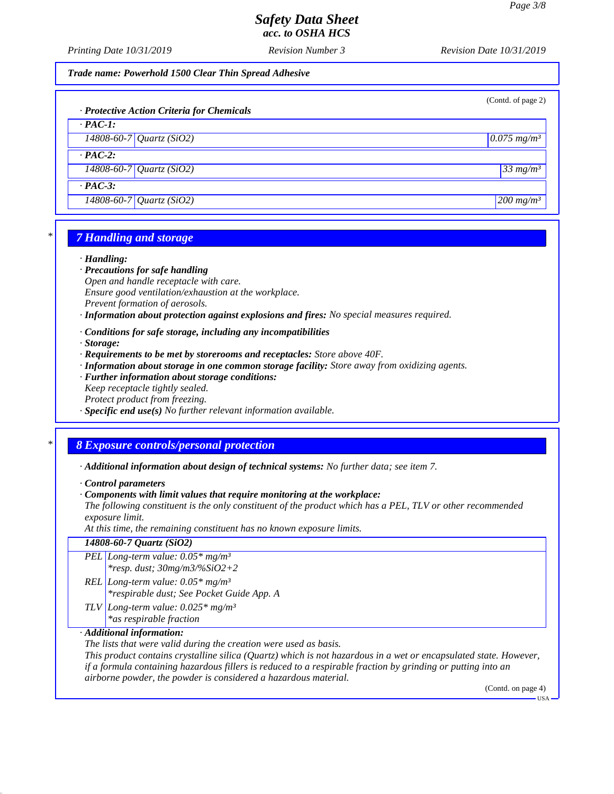*Printing Date 10/31/2019 Revision Number 3 Revision Date 10/31/2019*

*Trade name: Powerhold 1500 Clear Thin Spread Adhesive*

| · Protective Action Criteria for Chemicals | (Contd. of page 2)        |
|--------------------------------------------|---------------------------|
| $\cdot$ PAC-1:                             |                           |
| 14808-60-7 Quartz (SiO2)                   | $0.075$ mg/m <sup>3</sup> |
| $\cdot$ PAC-2:                             |                           |
| $14808 - 60 - 7$ <i>Quartz</i> (SiO2)      | $33$ mg/m <sup>3</sup>    |
| $\cdot$ PAC-3:                             |                           |
| $\sqrt{14808 - 60 - 7}$ Quartz (SiO2)      | $200$ mg/m <sup>3</sup>   |
|                                            |                           |

## *\* 7 Handling and storage*

#### *· Handling:*

*· Precautions for safe handling Open and handle receptacle with care. Ensure good ventilation/exhaustion at the workplace. Prevent formation of aerosols.*

- *· Information about protection against explosions and fires: No special measures required.*
- *· Conditions for safe storage, including any incompatibilities*
- *· Storage:*
- *· Requirements to be met by storerooms and receptacles: Store above 40F.*
- *· Information about storage in one common storage facility: Store away from oxidizing agents.*
- *· Further information about storage conditions: Keep receptacle tightly sealed.*
- *Protect product from freezing.*
- *· Specific end use(s) No further relevant information available.*

### *\* 8 Exposure controls/personal protection*

- *· Additional information about design of technical systems: No further data; see item 7.*
- *· Control parameters*
- *· Components with limit values that require monitoring at the workplace:*

*The following constituent is the only constituent of the product which has a PEL, TLV or other recommended exposure limit.*

*At this time, the remaining constituent has no known exposure limits.*

|                           | 14808-60-7 Quartz (SiO2)                                                                                          |  |  |
|---------------------------|-------------------------------------------------------------------------------------------------------------------|--|--|
|                           | PEL Long-term value: $0.05*$ mg/m <sup>3</sup>                                                                    |  |  |
|                           | *resp. dust; $30mg/m3\%SiO2+2$                                                                                    |  |  |
|                           | REL Long-term value: $0.05*$ mg/m <sup>3</sup>                                                                    |  |  |
|                           | *respirable dust; See Pocket Guide App. A                                                                         |  |  |
|                           | TLV Long-term value: $0.025*$ mg/m <sup>3</sup>                                                                   |  |  |
|                           | *as respirable fraction                                                                                           |  |  |
| · Additional information: |                                                                                                                   |  |  |
|                           | The lists that were valid during the creation were used as basis.                                                 |  |  |
|                           | This product contains crystalline silica (Quartz) which is not hazardous in a wet or encapsulated state. However, |  |  |
|                           | if a formula containing hazardous fillers is reduced to a respirable fraction by grinding or putting into an      |  |  |
|                           | airborne powder, the powder is considered a hazardous material.                                                   |  |  |

(Contd. on page 4)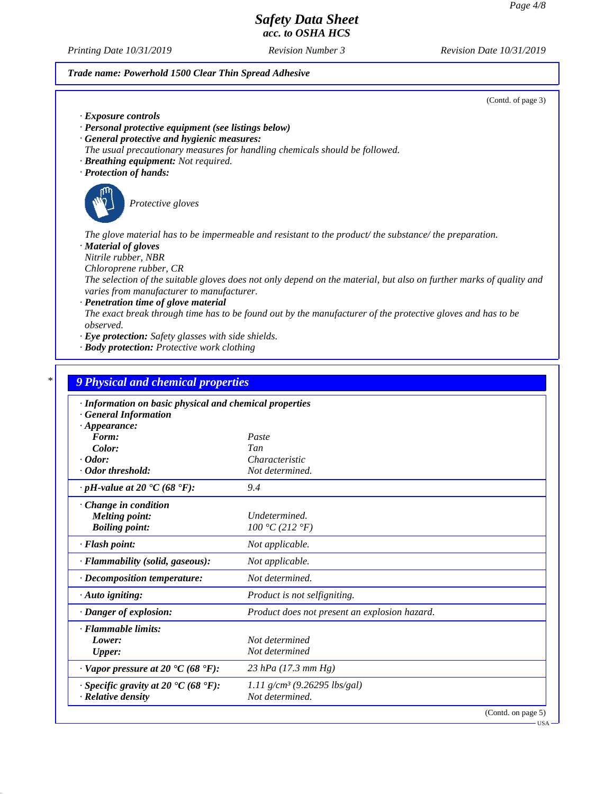USA

# *Safety Data Sheet acc. to OSHA HCS*

*Printing Date 10/31/2019 Revision Number 3 Revision Date 10/31/2019*

*Trade name: Powerhold 1500 Clear Thin Spread Adhesive*

| (Contd. of page 3)                                                                                                                                               |
|------------------------------------------------------------------------------------------------------------------------------------------------------------------|
| $\cdot$ Exposure controls                                                                                                                                        |
| · Personal protective equipment (see listings below)                                                                                                             |
| · General protective and hygienic measures:                                                                                                                      |
| The usual precautionary measures for handling chemicals should be followed.                                                                                      |
| · Breathing equipment: Not required.                                                                                                                             |
| · Protection of hands:                                                                                                                                           |
| Protective gloves                                                                                                                                                |
| The glove material has to be impermeable and resistant to the product/ the substance/ the preparation.<br>· Material of gloves                                   |
| Nitrile rubber, NBR                                                                                                                                              |
| Chloroprene rubber, CR                                                                                                                                           |
| The selection of the suitable gloves does not only depend on the material, but also on further marks of quality and<br>varies from manufacturer to manufacturer. |
| · Penetration time of glove material                                                                                                                             |
| The exact break through time has to be found out by the manufacturer of the protective gloves and has to be<br><i>observed.</i>                                  |
| $\cdot$ Eye protection: Safety glasses with side shields.                                                                                                        |
| · <b>Body protection:</b> Protective work clothing                                                                                                               |

| Paste<br>Tan<br>Characteristic<br>Not determined.<br>9.4<br>Undetermined.<br>100 °C (212 °F) |
|----------------------------------------------------------------------------------------------|
|                                                                                              |
|                                                                                              |
|                                                                                              |
|                                                                                              |
|                                                                                              |
|                                                                                              |
|                                                                                              |
|                                                                                              |
|                                                                                              |
| Not applicable.                                                                              |
| Not applicable.                                                                              |
| Not determined.                                                                              |
| Product is not selfigniting.                                                                 |
| Product does not present an explosion hazard.                                                |
|                                                                                              |
| Not determined                                                                               |
| Not determined                                                                               |
| 23 hPa $(17.3 \text{ mm Hg})$                                                                |
| 1.11 $g/cm^3$ (9.26295 lbs/gal)                                                              |
| Not determined.                                                                              |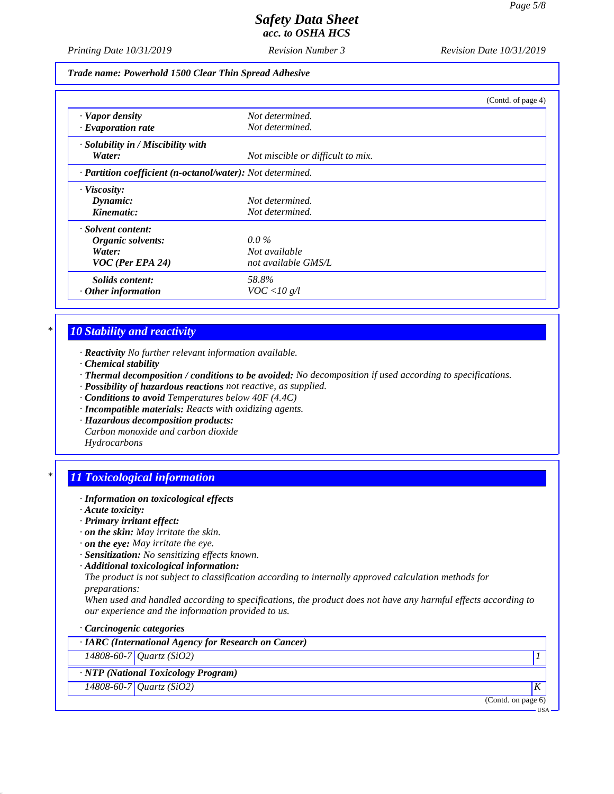*Printing Date 10/31/2019 Revision Number 3 Revision Date 10/31/2019*

*Trade name: Powerhold 1500 Clear Thin Spread Adhesive*

|                                                                         |                                   | (Contd. of page 4) |
|-------------------------------------------------------------------------|-----------------------------------|--------------------|
| · Vapor density                                                         | Not determined.                   |                    |
| $\cdot$ Evaporation rate                                                | Not determined.                   |                    |
| $\cdot$ Solubility in / Miscibility with                                |                                   |                    |
| Water:                                                                  | Not miscible or difficult to mix. |                    |
| $\cdot$ <b>Partition coefficient (n-octanol/water):</b> Not determined. |                                   |                    |
| $\cdot$ Viscosity:                                                      |                                   |                    |
| Dynamic:                                                                | Not determined.                   |                    |
| Kinematic:                                                              | Not determined.                   |                    |
| · Solvent content:                                                      |                                   |                    |
| Organic solvents:                                                       | $0.0\%$                           |                    |
| Water:                                                                  | Not available                     |                    |
| $VOC$ (Per EPA 24)                                                      | not available GMS/L               |                    |
| Solids content:                                                         | 58.8%                             |                    |
| $\cdot$ Other information                                               | VOC < 10 g/l                      |                    |

# *\* 10 Stability and reactivity*

*· Reactivity No further relevant information available.*

- *· Chemical stability*
- *· Thermal decomposition / conditions to be avoided: No decomposition if used according to specifications.*
- *· Possibility of hazardous reactions not reactive, as supplied.*
- *· Conditions to avoid Temperatures below 40F (4.4C)*
- *· Incompatible materials: Reacts with oxidizing agents.*
- *· Hazardous decomposition products: Carbon monoxide and carbon dioxide Hydrocarbons*

# *\* 11 Toxicological information*

- *· Information on toxicological effects*
- *· Acute toxicity:*
- *· Primary irritant effect:*
- *· on the skin: May irritate the skin.*
- *· on the eye: May irritate the eye.*
- *· Sensitization: No sensitizing effects known.*
- *· Additional toxicological information:*

*The product is not subject to classification according to internally approved calculation methods for preparations:*

*When used and handled according to specifications, the product does not have any harmful effects according to our experience and the information provided to us.*

*· Carcinogenic categories*

| · IARC (International Agency for Research on Cancer) |                    |
|------------------------------------------------------|--------------------|
| 14808-60-7 Quartz (SiO2)                             |                    |
| · NTP (National Toxicology Program)                  |                    |
| 14808-60-7 Quartz (SiO2)                             | ٠K                 |
|                                                      | (Contd. on page 6) |
|                                                      | <b>USA</b>         |
|                                                      |                    |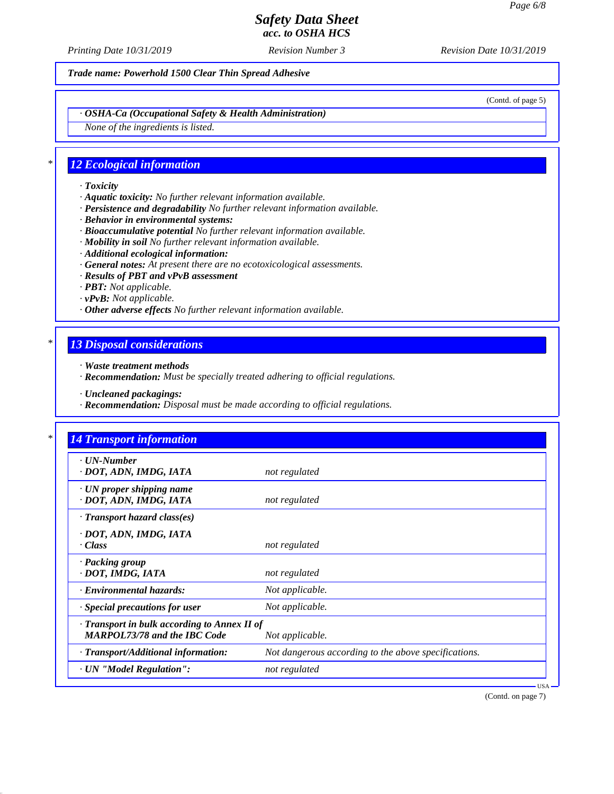*Printing Date 10/31/2019 Revision Number 3 Revision Date 10/31/2019*

*Trade name: Powerhold 1500 Clear Thin Spread Adhesive*

(Contd. of page 5)

*· OSHA-Ca (Occupational Safety & Health Administration)*

*None of the ingredients is listed.*

### *\* 12 Ecological information*

- *· Toxicity*
- *· Aquatic toxicity: No further relevant information available.*
- *· Persistence and degradability No further relevant information available.*
- *· Behavior in environmental systems:*
- *· Bioaccumulative potential No further relevant information available.*
- *· Mobility in soil No further relevant information available.*
- *· Additional ecological information:*
- *· General notes: At present there are no ecotoxicological assessments.*
- *· Results of PBT and vPvB assessment*
- *· PBT: Not applicable.*
- *· vPvB: Not applicable.*
- *· Other adverse effects No further relevant information available.*

# *\* 13 Disposal considerations*

- *· Waste treatment methods*
- *· Recommendation: Must be specially treated adhering to official regulations.*
- *· Uncleaned packagings:*
- *· Recommendation: Disposal must be made according to official regulations.*

| $\cdot$ UN-Number                            |                                                      |
|----------------------------------------------|------------------------------------------------------|
| · DOT, ADN, IMDG, IATA                       | not regulated                                        |
| $\cdot$ UN proper shipping name              |                                                      |
| · DOT, ADN, IMDG, IATA                       | not regulated                                        |
| $\cdot$ Transport hazard class(es)           |                                                      |
| · DOT, ADN, IMDG, IATA                       |                                                      |
| $\cdot Class$                                | not regulated                                        |
| · Packing group                              |                                                      |
| · DOT, IMDG, IATA                            | not regulated                                        |
| · Environmental hazards:                     | Not applicable.                                      |
| $\cdot$ Special precautions for user         | Not applicable.                                      |
| · Transport in bulk according to Annex II of |                                                      |
| <b>MARPOL73/78 and the IBC Code</b>          | Not applicable.                                      |
| · Transport/Additional information:          | Not dangerous according to the above specifications. |
| · UN "Model Regulation":                     | not regulated                                        |

(Contd. on page 7)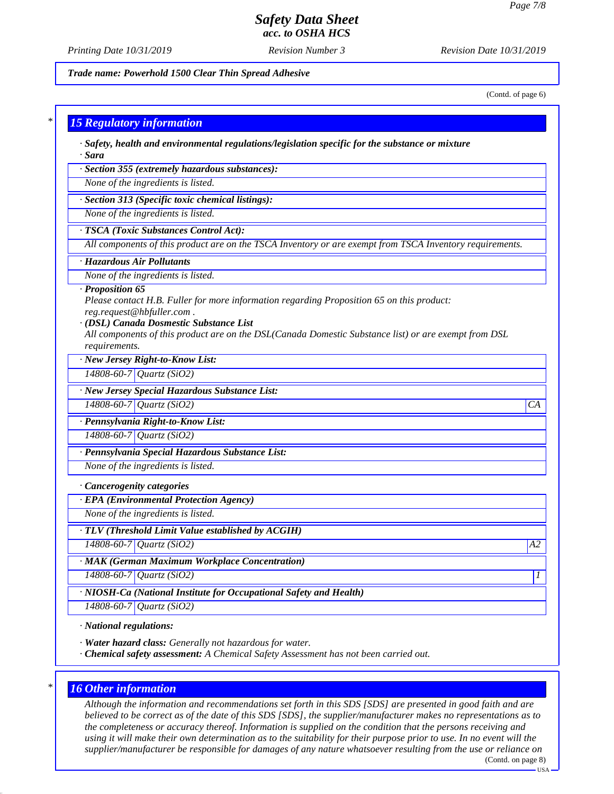*Printing Date 10/31/2019 Revision Number 3 Revision Date 10/31/2019*

*Trade name: Powerhold 1500 Clear Thin Spread Adhesive*

(Contd. of page 6)

#### *\* 15 Regulatory information*

*· Safety, health and environmental regulations/legislation specific for the substance or mixture · Sara*

*· Section 355 (extremely hazardous substances):*

*None of the ingredients is listed.*

*· Section 313 (Specific toxic chemical listings):*

*None of the ingredients is listed.*

## *· TSCA (Toxic Substances Control Act):*

*All components of this product are on the TSCA Inventory or are exempt from TSCA Inventory requirements.*

#### *· Hazardous Air Pollutants*

*None of the ingredients is listed.*

#### *· Proposition 65*

*Please contact H.B. Fuller for more information regarding Proposition 65 on this product: reg.request@hbfuller.com .*

#### *· (DSL) Canada Dosmestic Substance List*

*All components of this product are on the DSL(Canada Domestic Substance list) or are exempt from DSL requirements.*

*· New Jersey Right-to-Know List:*

*14808-60-7 Quartz (SiO2)*

#### *· New Jersey Special Hazardous Substance List:*

*14808-60-7 Quartz (SiO2) CA*

#### *· Pennsylvania Right-to-Know List:*

*14808-60-7 Quartz (SiO2)*

#### *· Pennsylvania Special Hazardous Substance List:*

*None of the ingredients is listed.*

#### *· Cancerogenity categories*

*· EPA (Environmental Protection Agency)*

*None of the ingredients is listed.*

#### *· TLV (Threshold Limit Value established by ACGIH)*

*14808-60-7 Quartz (SiO2) A2*

## *· MAK (German Maximum Workplace Concentration)*

*14808-60-7 Quartz (SiO2) 1* 

*· NIOSH-Ca (National Institute for Occupational Safety and Health)*

*14808-60-7 Quartz (SiO2)*

#### *· National regulations:*

*· Water hazard class: Generally not hazardous for water.*

*· Chemical safety assessment: A Chemical Safety Assessment has not been carried out.*

#### *\* 16 Other information*

*Although the information and recommendations set forth in this SDS [SDS] are presented in good faith and are believed to be correct as of the date of this SDS [SDS], the supplier/manufacturer makes no representations as to the completeness or accuracy thereof. Information is supplied on the condition that the persons receiving and using it will make their own determination as to the suitability for their purpose prior to use. In no event will the supplier/manufacturer be responsible for damages of any nature whatsoever resulting from the use or reliance on* (Contd. on page 8)